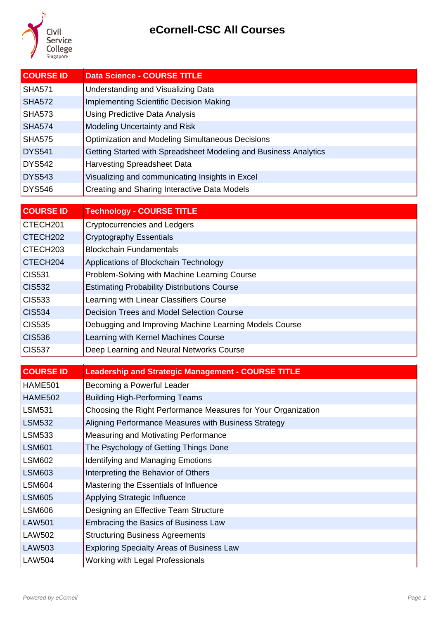

| <b>COURSE ID</b> | <b>Data Science - COURSE TITLE</b>                               |
|------------------|------------------------------------------------------------------|
| SHA571           | Understanding and Visualizing Data                               |
| SHA572           | <b>Implementing Scientific Decision Making</b>                   |
| <b>SHA573</b>    | Using Predictive Data Analysis                                   |
| SHA574           | Modeling Uncertainty and Risk                                    |
| SHA575           | Optimization and Modeling Simultaneous Decisions                 |
| DYS541           | Getting Started with Spreadsheet Modeling and Business Analytics |
| DYS542           | <b>Harvesting Spreadsheet Data</b>                               |
| <b>DYS543</b>    | Visualizing and communicating Insights in Excel                  |
| <b>DYS546</b>    | Creating and Sharing Interactive Data Models                     |

| <b>COURSE ID</b>            | <b>Technology - COURSE TITLE</b>                       |
|-----------------------------|--------------------------------------------------------|
| CTECH <sub>201</sub>        | <b>Cryptocurrencies and Ledgers</b>                    |
| CTECH <sub>202</sub>        | <b>Cryptography Essentials</b>                         |
| CTECH <sub>203</sub>        | <b>Blockchain Fundamentals</b>                         |
| CTECH <sub>204</sub>        | Applications of Blockchain Technology                  |
| $\overline{\text{CIS}531}$  | Problem-Solving with Machine Learning Course           |
| $\overline{\text{CIS}532}$  | <b>Estimating Probability Distributions Course</b>     |
| $\overline{\text{CI}}$ S533 | Learning with Linear Classifiers Course                |
| $\vert$ CIS534              | Decision Trees and Model Selection Course              |
| $\overline{\text{CIS}535}$  | Debugging and Improving Machine Learning Models Course |
| $\vert$ CIS536              | Learning with Kernel Machines Course                   |
| $\vert$ CIS537              | Deep Learning and Neural Networks Course               |

| <b>COURSE ID</b> | <b>Leadership and Strategic Management - COURSE TITLE</b>     |
|------------------|---------------------------------------------------------------|
| HAME501          | Becoming a Powerful Leader                                    |
| <b>HAME502</b>   | <b>Building High-Performing Teams</b>                         |
| <b>LSM531</b>    | Choosing the Right Performance Measures for Your Organization |
| <b>LSM532</b>    | Aligning Performance Measures with Business Strategy          |
| <b>LSM533</b>    | Measuring and Motivating Performance                          |
| <b>LSM601</b>    | The Psychology of Getting Things Done                         |
| <b>LSM602</b>    | <b>Identifying and Managing Emotions</b>                      |
| <b>LSM603</b>    | Interpreting the Behavior of Others                           |
| <b>LSM604</b>    | Mastering the Essentials of Influence                         |
| <b>LSM605</b>    | Applying Strategic Influence                                  |
| <b>LSM606</b>    | Designing an Effective Team Structure                         |
| <b>LAW501</b>    | Embracing the Basics of Business Law                          |
| <b>LAW502</b>    | <b>Structuring Business Agreements</b>                        |
| <b>LAW503</b>    | <b>Exploring Specialty Areas of Business Law</b>              |
| <b>LAW504</b>    | Working with Legal Professionals                              |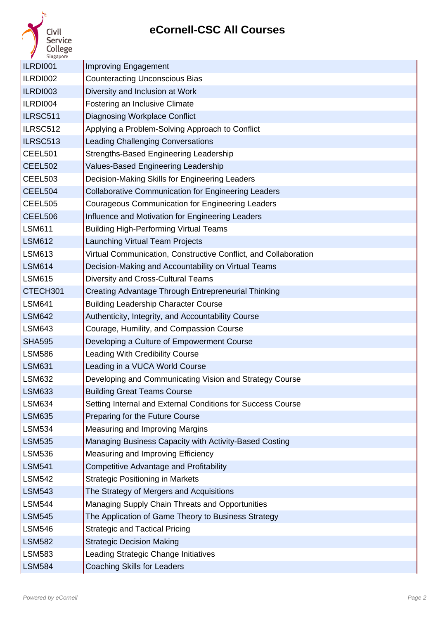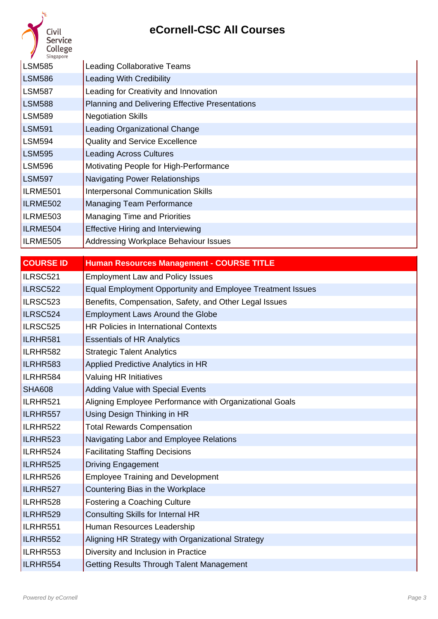| <b>Service</b><br>College<br>Singapore |                                                        |
|----------------------------------------|--------------------------------------------------------|
| <b>LSM585</b>                          | <b>Leading Collaborative Teams</b>                     |
| <b>LSM586</b>                          | <b>Leading With Credibility</b>                        |
| <b>LSM587</b>                          | Leading for Creativity and Innovation                  |
| <b>LSM588</b>                          | <b>Planning and Delivering Effective Presentations</b> |
| <b>LSM589</b>                          | <b>Negotiation Skills</b>                              |
| <b>LSM591</b>                          | Leading Organizational Change                          |
| <b>LSM594</b>                          | <b>Quality and Service Excellence</b>                  |
| <b>LSM595</b>                          | <b>Leading Across Cultures</b>                         |
| <b>LSM596</b>                          | Motivating People for High-Performance                 |
| <b>LSM597</b>                          | <b>Navigating Power Relationships</b>                  |
| ILRME501                               | <b>Interpersonal Communication Skills</b>              |
| ILRME502                               | <b>Managing Team Performance</b>                       |
| ILRME503                               | <b>Managing Time and Priorities</b>                    |
| ILRME504                               | <b>Effective Hiring and Interviewing</b>               |
| ILRME505                               | <b>Addressing Workplace Behaviour Issues</b>           |

| <b>COURSE ID</b> | <b>Human Resources Management - COURSE TITLE</b>           |
|------------------|------------------------------------------------------------|
| ILRSC521         | <b>Employment Law and Policy Issues</b>                    |
| ILRSC522         | Equal Employment Opportunity and Employee Treatment Issues |
| ILRSC523         | Benefits, Compensation, Safety, and Other Legal Issues     |
| ILRSC524         | <b>Employment Laws Around the Globe</b>                    |
| ILRSC525         | <b>HR Policies in International Contexts</b>               |
| ILRHR581         | <b>Essentials of HR Analytics</b>                          |
| ILRHR582         | <b>Strategic Talent Analytics</b>                          |
| ILRHR583         | Applied Predictive Analytics in HR                         |
| ILRHR584         | <b>Valuing HR Initiatives</b>                              |
| <b>SHA608</b>    | <b>Adding Value with Special Events</b>                    |
| ILRHR521         | Aligning Employee Performance with Organizational Goals    |
| ILRHR557         | Using Design Thinking in HR                                |
| ILRHR522         | <b>Total Rewards Compensation</b>                          |
| ILRHR523         | Navigating Labor and Employee Relations                    |
| ILRHR524         | <b>Facilitating Staffing Decisions</b>                     |
| ILRHR525         | <b>Driving Engagement</b>                                  |
| ILRHR526         | <b>Employee Training and Development</b>                   |
| ILRHR527         | Countering Bias in the Workplace                           |
| ILRHR528         | <b>Fostering a Coaching Culture</b>                        |
| ILRHR529         | <b>Consulting Skills for Internal HR</b>                   |
| ILRHR551         | Human Resources Leadership                                 |
| ILRHR552         | Aligning HR Strategy with Organizational Strategy          |
| ILRHR553         | Diversity and Inclusion in Practice                        |
| ILRHR554         | Getting Results Through Talent Management                  |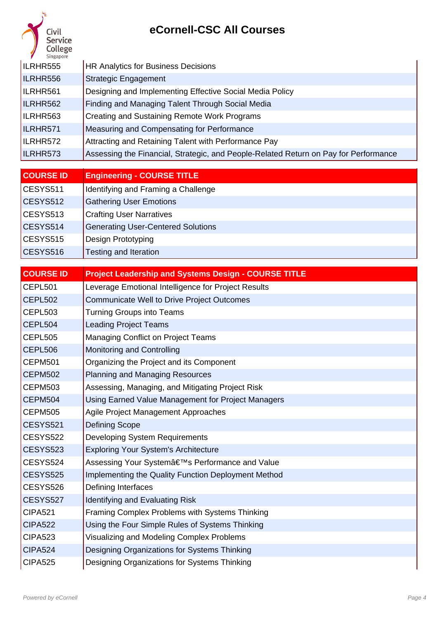| <b>Service</b><br>College<br>Singapore |                                                                                      |
|----------------------------------------|--------------------------------------------------------------------------------------|
| ILRHR555                               | <b>HR Analytics for Business Decisions</b>                                           |
| ILRHR556                               | <b>Strategic Engagement</b>                                                          |
| ILRHR561                               | Designing and Implementing Effective Social Media Policy                             |
| ILRHR562                               | Finding and Managing Talent Through Social Media                                     |
| ILRHR563                               | <b>Creating and Sustaining Remote Work Programs</b>                                  |
| ILRHR571                               | Measuring and Compensating for Performance                                           |
| ILRHR572                               | Attracting and Retaining Talent with Performance Pay                                 |
| ILRHR573                               | Assessing the Financial, Strategic, and People-Related Return on Pay for Performance |

| <b>COURSE ID</b> | <b>Engineering - COURSE TITLE</b>         |
|------------------|-------------------------------------------|
| CESYS511         | Identifying and Framing a Challenge       |
| CESYS512         | <b>Gathering User Emotions</b>            |
| CESYS513         | <b>Crafting User Narratives</b>           |
| CESYS514         | <b>Generating User-Centered Solutions</b> |
| CESYS515         | Design Prototyping                        |
| CESYS516         | <b>Testing and Iteration</b>              |

| <b>COURSE ID</b> | <b>Project Leadership and Systems Design - COURSE TITLE</b> |
|------------------|-------------------------------------------------------------|
| CEPL501          | Leverage Emotional Intelligence for Project Results         |
| CEPL502          | <b>Communicate Well to Drive Project Outcomes</b>           |
| CEPL503          | <b>Turning Groups into Teams</b>                            |
| CEPL504          | <b>Leading Project Teams</b>                                |
| CEPL505          | Managing Conflict on Project Teams                          |
| CEPL506          | <b>Monitoring and Controlling</b>                           |
| CEPM501          | Organizing the Project and its Component                    |
| CEPM502          | <b>Planning and Managing Resources</b>                      |
| CEPM503          | Assessing, Managing, and Mitigating Project Risk            |
| CEPM504          | Using Earned Value Management for Project Managers          |
| CEPM505          | Agile Project Management Approaches                         |
| CESYS521         | <b>Defining Scope</b>                                       |
| CESYS522         | Developing System Requirements                              |
| CESYS523         | <b>Exploring Your System's Architecture</b>                 |
| CESYS524         | Assessing Your System's Performance and Value               |
| CESYS525         | Implementing the Quality Function Deployment Method         |
| CESYS526         | Defining Interfaces                                         |
| CESYS527         | <b>Identifying and Evaluating Risk</b>                      |
| CIPA521          | Framing Complex Problems with Systems Thinking              |
| CIPA522          | Using the Four Simple Rules of Systems Thinking             |
| CIPA523          | Visualizing and Modeling Complex Problems                   |
| CIPA524          | Designing Organizations for Systems Thinking                |
| <b>CIPA525</b>   | Designing Organizations for Systems Thinking                |

- 11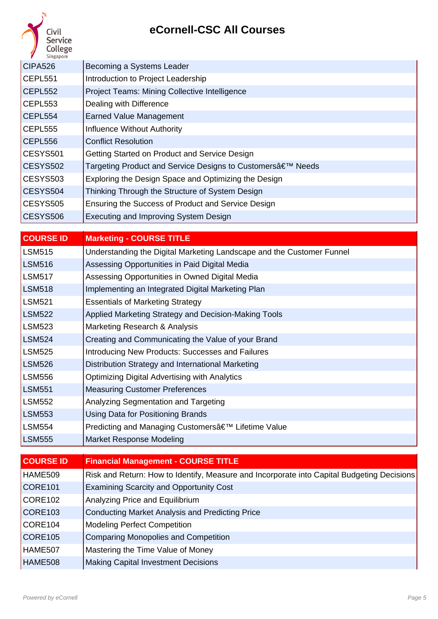| <b>Service</b><br>College<br>Singapore |                                                           |
|----------------------------------------|-----------------------------------------------------------|
| CIPA526                                | Becoming a Systems Leader                                 |
| CEPL551                                | Introduction to Project Leadership                        |
| CEPL552                                | <b>Project Teams: Mining Collective Intelligence</b>      |
| CEPL553                                | Dealing with Difference                                   |
| CEPL554                                | <b>Earned Value Management</b>                            |
| CEPL555                                | Influence Without Authority                               |
| CEPL556                                | <b>Conflict Resolution</b>                                |
| CESYS501                               | Getting Started on Product and Service Design             |
| CESYS502                               | Targeting Product and Service Designs to Customers' Needs |
| CESYS503                               | Exploring the Design Space and Optimizing the Design      |
| CESYS504                               | Thinking Through the Structure of System Design           |
| CESYS505                               | Ensuring the Success of Product and Service Design        |
| CESYS506                               | Executing and Improving System Design                     |

| <b>COURSE ID</b> | <b>Marketing - COURSE TITLE</b>                                       |
|------------------|-----------------------------------------------------------------------|
| LSM515           | Understanding the Digital Marketing Landscape and the Customer Funnel |
| <b>LSM516</b>    | Assessing Opportunities in Paid Digital Media                         |
| LSM517           | Assessing Opportunities in Owned Digital Media                        |
| <b>LSM518</b>    | Implementing an Integrated Digital Marketing Plan                     |
| <b>LSM521</b>    | <b>Essentials of Marketing Strategy</b>                               |
| LSM522           | Applied Marketing Strategy and Decision-Making Tools                  |
| LSM523           | Marketing Research & Analysis                                         |
| LSM524           | Creating and Communicating the Value of your Brand                    |
| LSM525           | Introducing New Products: Successes and Failures                      |
| LSM526           | Distribution Strategy and International Marketing                     |
| LSM556           | <b>Optimizing Digital Advertising with Analytics</b>                  |
| <b>LSM551</b>    | <b>Measuring Customer Preferences</b>                                 |
| <b>LSM552</b>    | Analyzing Segmentation and Targeting                                  |
| <b>LSM553</b>    | Using Data for Positioning Brands                                     |
| LSM554           | Predicting and Managing Customers' Lifetime Value                     |
| <b>LSM555</b>    | Market Response Modeling                                              |

| <b>COURSE ID</b>    | <b>Financial Management - COURSE TITLE</b>                                                 |
|---------------------|--------------------------------------------------------------------------------------------|
| HAME509             | Risk and Return: How to Identify, Measure and Incorporate into Capital Budgeting Decisions |
| CORE <sub>101</sub> | <b>Examining Scarcity and Opportunity Cost</b>                                             |
| CORE <sub>102</sub> | Analyzing Price and Equilibrium                                                            |
| CORE <sub>103</sub> | <b>Conducting Market Analysis and Predicting Price</b>                                     |
| CORE <sub>104</sub> | <b>Modeling Perfect Competition</b>                                                        |
| CORE <sub>105</sub> | <b>Comparing Monopolies and Competition</b>                                                |
| HAME507             | Mastering the Time Value of Money                                                          |
| HAME508             | <b>Making Capital Investment Decisions</b>                                                 |

D.